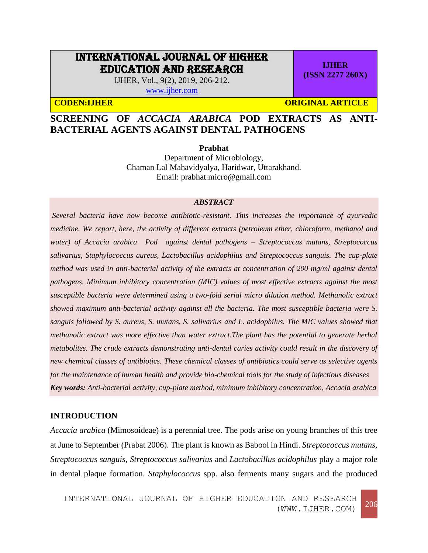# INTERNATIONAL JOURNAL OF HIGHER EDUCATION AND RESEARCH

IJHER, Vol., 9(2), 2019, 206-212. [www.ijher.com](http://www.ijher.com/)

**CODEN:IJHER ORIGINAL ARTICLE** 

**IJHER (ISSN 2277 260X)**

## **SCREENING OF** *ACCACIA ARABICA* **POD EXTRACTS AS ANTI-BACTERIAL AGENTS AGAINST DENTAL PATHOGENS**

**Prabhat**

Department of Microbiology, Chaman Lal Mahavidyalya, Haridwar, Uttarakhand. Email: [prabhat.micro@gmail.com](mailto:prabhat.micro@gmail.com)

#### *ABSTRACT*

*Several bacteria have now become antibiotic-resistant. This increases the importance of ayurvedic medicine. We report, here, the activity of different extracts (petroleum ether, chloroform, methanol and water) of Accacia arabica Pod against dental pathogens – Streptococcus mutans, Streptococcus salivarius, Staphylococcus aureus, Lactobacillus acidophilus and Streptococcus sanguis. The cup-plate method was used in anti-bacterial activity of the extracts at concentration of 200 mg/ml against dental pathogens. Minimum inhibitory concentration (MIC) values of most effective extracts against the most susceptible bacteria were determined using a two-fold serial micro dilution method. Methanolic extract showed maximum anti-bacterial activity against all the bacteria. The most susceptible bacteria were S. sanguis followed by S. aureus, S. mutans, S. salivarius and L. acidophilus. The MIC values showed that methanolic extract was more effective than water extract.The plant has the potential to generate herbal metabolites. The crude extracts demonstrating anti-dental caries activity could result in the discovery of new chemical classes of antibiotics. These chemical classes of antibiotics could serve as selective agents for the maintenance of human health and provide bio-chemical tools for the study of infectious diseases Key words: Anti-bacterial activity, cup-plate method, minimum inhibitory concentration, Accacia arabica*

## **INTRODUCTION**

*Accacia arabica* (Mimosoideae) is a perennial tree. The pods arise on young branches of this tree at June to September (Prabat 2006). The plant is known as Babool in Hindi. *Streptococcus mutans, Streptococcus sanguis, Streptococcus salivarius* and *Lactobacillus acidophilus* play a major role in dental plaque formation. *Staphylococcus* spp. also ferments many sugars and the produced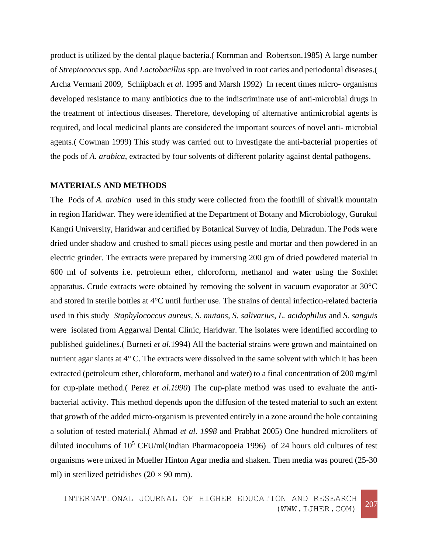product is utilized by the dental plaque bacteria.( Kornman and Robertson.1985) A large number of *Streptococcus* spp. And *Lactobacillus* spp. are involved in root caries and periodontal diseases.( Archa Vermani 2009, Schiipbach *et al.* 1995 and Marsh 1992) In recent times micro- organisms developed resistance to many antibiotics due to the indiscriminate use of anti-microbial drugs in the treatment of infectious diseases. Therefore, developing of alternative antimicrobial agents is required, and local medicinal plants are considered the important sources of novel anti- microbial agents.( Cowman 1999) This study was carried out to investigate the anti-bacterial properties of the pods of *A. arabica*, extracted by four solvents of different polarity against dental pathogens.

#### **MATERIALS AND METHODS**

The Pods of *A. arabica* used in this study were collected from the foothill of shivalik mountain in region Haridwar. They were identified at the Department of Botany and Microbiology, Gurukul Kangri University, Haridwar and certified by Botanical Survey of India, Dehradun. The Pods were dried under shadow and crushed to small pieces using pestle and mortar and then powdered in an electric grinder. The extracts were prepared by immersing 200 gm of dried powdered material in 600 ml of solvents i.e. petroleum ether, chloroform, methanol and water using the Soxhlet apparatus. Crude extracts were obtained by removing the solvent in vacuum evaporator at 30°C and stored in sterile bottles at 4°C until further use. The strains of dental infection-related bacteria used in this study *Staphylococcus aureus, S. mutans, S. salivarius, L. acidophilus* and *S. sanguis* were isolated from Aggarwal Dental Clinic, Haridwar. The isolates were identified according to published guidelines.( Burneti *et al.*1994) All the bacterial strains were grown and maintained on nutrient agar slants at 4° C. The extracts were dissolved in the same solvent with which it has been extracted (petroleum ether, chloroform, methanol and water) to a final concentration of 200 mg/ml for cup-plate method.( Perez *et al.1990*) The cup-plate method was used to evaluate the antibacterial activity. This method depends upon the diffusion of the tested material to such an extent that growth of the added micro-organism is prevented entirely in a zone around the hole containing a solution of tested material.( Ahmad *et al. 1998* and Prabhat 2005) One hundred microliters of diluted inoculums of  $10^5$  CFU/ml(Indian Pharmacopoeia 1996) of 24 hours old cultures of test organisms were mixed in Mueller Hinton Agar media and shaken. Then media was poured (25-30 ml) in sterilized petridishes  $(20 \times 90 \text{ mm})$ .

INTERNATIONAL JOURNAL OF HIGHER EDUCATION AND RESEARCH (WWW.IJHER.COM) <sup>207</sup>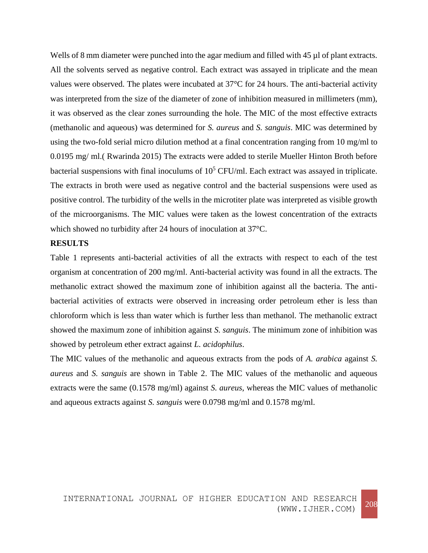Wells of 8 mm diameter were punched into the agar medium and filled with 45 µl of plant extracts. All the solvents served as negative control. Each extract was assayed in triplicate and the mean values were observed. The plates were incubated at 37°C for 24 hours. The anti-bacterial activity was interpreted from the size of the diameter of zone of inhibition measured in millimeters (mm), it was observed as the clear zones surrounding the hole. The MIC of the most effective extracts (methanolic and aqueous) was determined for *S. aureus* and *S. sanguis*. MIC was determined by using the two-fold serial micro dilution method at a final concentration ranging from 10 mg/ml to 0.0195 mg/ ml.( Rwarinda 2015) The extracts were added to sterile Mueller Hinton Broth before bacterial suspensions with final inoculums of  $10<sup>5</sup>$  CFU/ml. Each extract was assayed in triplicate. The extracts in broth were used as negative control and the bacterial suspensions were used as positive control. The turbidity of the wells in the microtiter plate was interpreted as visible growth of the microorganisms. The MIC values were taken as the lowest concentration of the extracts which showed no turbidity after 24 hours of inoculation at 37°C.

## **RESULTS**

Table 1 represents anti-bacterial activities of all the extracts with respect to each of the test organism at concentration of 200 mg/ml. Anti-bacterial activity was found in all the extracts. The methanolic extract showed the maximum zone of inhibition against all the bacteria. The antibacterial activities of extracts were observed in increasing order petroleum ether is less than chloroform which is less than water which is further less than methanol. The methanolic extract showed the maximum zone of inhibition against *S. sanguis*. The minimum zone of inhibition was showed by petroleum ether extract against *L. acidophilus*.

The MIC values of the methanolic and aqueous extracts from the pods of *A. arabica* against *S. aureus* and *S. sanguis* are shown in Table 2. The MIC values of the methanolic and aqueous extracts were the same (0.1578 mg/ml) against *S. aureus*, whereas the MIC values of methanolic and aqueous extracts against *S. sanguis* were 0.0798 mg/ml and 0.1578 mg/ml.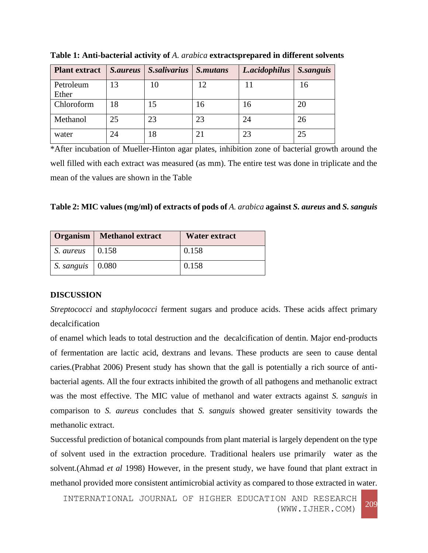| <b>Plant extract</b> | <b>S.aureus</b> | S.salivarius | S.mutans | L.acidophilus | <b>S.sanguis</b> |
|----------------------|-----------------|--------------|----------|---------------|------------------|
| Petroleum            | 13              | 10           | 12       | 11            | 16               |
| Ether                |                 |              |          |               |                  |
| Chloroform           | 18              | 15           | 16       | 16            | 20               |
| Methanol             | 25              | 23           | 23       | 24            | 26               |
| water                | 24              | 18           | 21       | 23            | 25               |

**Table 1: Anti-bacterial activity of** *A. arabica* **extractsprepared in different solvents**

\*After incubation of Mueller-Hinton agar plates, inhibition zone of bacterial growth around the well filled with each extract was measured (as mm). The entire test was done in triplicate and the mean of the values are shown in the Table

|  | Table 2: MIC values (mg/ml) of extracts of pods of A. arabica against S. aureus and S. sanguis |  |  |  |
|--|------------------------------------------------------------------------------------------------|--|--|--|
|--|------------------------------------------------------------------------------------------------|--|--|--|

|                                | <b>Organism</b>   Methanol extract | Water extract |
|--------------------------------|------------------------------------|---------------|
| S. aureus                      | 0.158                              | 0.158         |
| S. sanguis $\vert 0.080 \vert$ |                                    | 0.158         |

## **DISCUSSION**

*Streptococci* and *staphylococci* ferment sugars and produce acids. These acids affect primary decalcification

of enamel which leads to total destruction and the decalcification of dentin. Major end-products of fermentation are lactic acid, dextrans and levans. These products are seen to cause dental caries.(Prabhat 2006) Present study has shown that the gall is potentially a rich source of antibacterial agents. All the four extracts inhibited the growth of all pathogens and methanolic extract was the most effective. The MIC value of methanol and water extracts against *S. sanguis* in comparison to *S. aureus* concludes that *S. sanguis* showed greater sensitivity towards the methanolic extract.

Successful prediction of botanical compounds from plant material is largely dependent on the type of solvent used in the extraction procedure. Traditional healers use primarily water as the solvent.(Ahmad *et al* 1998) However, in the present study, we have found that plant extract in methanol provided more consistent antimicrobial activity as compared to those extracted in water.

INTERNATIONAL JOURNAL OF HIGHER EDUCATION AND RESEARCH (WWW.IJHER.COM) <sup>209</sup>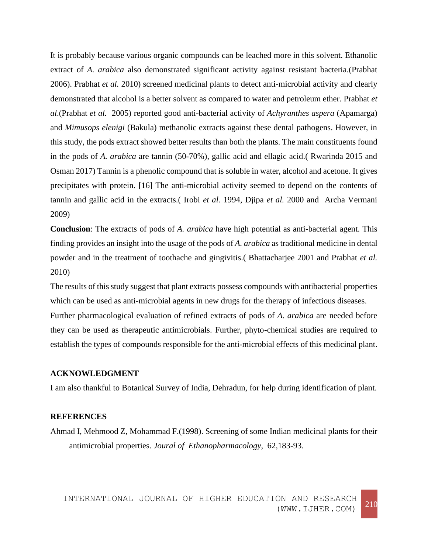It is probably because various organic compounds can be leached more in this solvent. Ethanolic extract of *A. arabica* also demonstrated significant activity against resistant bacteria.(Prabhat 2006). Prabhat *et al.* 2010) screened medicinal plants to detect anti-microbial activity and clearly demonstrated that alcohol is a better solvent as compared to water and petroleum ether. Prabhat *et al*.(Prabhat *et al.* 2005) reported good anti-bacterial activity of *Achyranthes aspera* (Apamarga) and *Mimusops elenigi* (Bakula) methanolic extracts against these dental pathogens. However, in this study, the pods extract showed better results than both the plants. The main constituents found in the pods of *A. arabica* are tannin (50-70%), gallic acid and ellagic acid.( Rwarinda 2015 and Osman 2017) Tannin is a phenolic compound that is soluble in water, alcohol and acetone. It gives precipitates with protein. [16] The anti-microbial activity seemed to depend on the contents of tannin and gallic acid in the extracts.( Irobi *et al.* 1994, Djipa *et al.* 2000 and Archa Vermani 2009)

**Conclusion**: The extracts of pods of *A. arabica* have high potential as anti-bacterial agent. This finding provides an insight into the usage of the pods of *A. arabica* as traditional medicine in dental powder and in the treatment of toothache and gingivitis.( Bhattacharjee 2001 and Prabhat *et al.*  2010)

The results of this study suggest that plant extracts possess compounds with antibacterial properties which can be used as anti-microbial agents in new drugs for the therapy of infectious diseases. Further pharmacological evaluation of refined extracts of pods of *A. arabica* are needed before they can be used as therapeutic antimicrobials. Further, phyto-chemical studies are required to establish the types of compounds responsible for the anti-microbial effects of this medicinal plant.

## **ACKNOWLEDGMENT**

I am also thankful to Botanical Survey of India, Dehradun, for help during identification of plant.

## **REFERENCES**

Ahmad I, Mehmood Z, Mohammad F.(1998). Screening of some Indian medicinal plants for their antimicrobial properties. *Joural of Ethanopharmacology*, 62,183-93.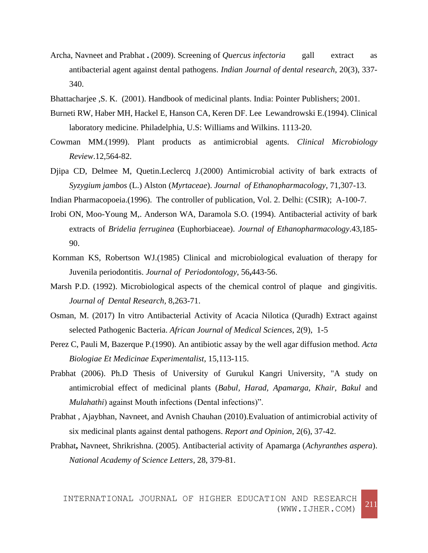- Archa, Navneet and Prabhat **.** (2009). Screening of *Quercus infectoria* gall extract as antibacterial agent against dental pathogens. *Indian Journal of dental research*, 20(3), 337- 340.
- Bhattacharjee ,S. K. (2001). Handbook of medicinal plants. India: Pointer Publishers; 2001.
- Burneti RW, Haber MH, Hackel E, Hanson CA, Keren DF. Lee Lewandrowski E.(1994). Clinical laboratory medicine. Philadelphia, U.S: Williams and Wilkins. 1113-20.
- Cowman MM.(1999). Plant products as antimicrobial agents. *Clinical Microbiology Review*.12,564-82.
- Djipa CD, Delmee M, Quetin.Leclercq J.(2000) Antimicrobial activity of bark extracts of *Syzygium jambos* (L.) Alston (*Myrtaceae*). *Journal of Ethanopharmacology*, 71,307-13.
- Indian Pharmacopoeia.(1996). The controller of publication, Vol. 2. Delhi: (CSIR); A-100-7.
- Irobi ON, Moo-Young M,. Anderson WA, Daramola S.O. (1994). Antibacterial activity of bark extracts of *Bridelia ferruginea* (Euphorbiaceae). *Journal of Ethanopharmacology*.43,185- 90.
- Kornman KS, Robertson WJ.(1985) Clinical and microbiological evaluation of therapy for Juvenila periodontitis. *Journal of Periodontology*, 56**,**443-56.
- Marsh P.D. (1992). Microbiological aspects of the chemical control of plaque and gingivitis. *Journal of Dental Research,* 8,263-71.
- Osman, M. (2017) In vitro Antibacterial Activity of Acacia Nilotica (Quradh) Extract against selected Pathogenic Bacteria. *African Journal of Medical Sciences*, 2(9), 1-5
- Perez C, Pauli M, Bazerque P.(1990). An antibiotic assay by the well agar diffusion method. *Acta Biologiae Et Medicinae Experimentalist*, 15,113-115.
- Prabhat (2006). Ph.D Thesis of University of Gurukul Kangri University, "A study on antimicrobial effect of medicinal plants (*Babul, Harad, Apamarga, Khair, Bakul* and *Mulahathi*) against Mouth infections (Dental infections)".
- Prabhat , Ajaybhan, Navneet, and Avnish Chauhan (2010).Evaluation of antimicrobial activity of six medicinal plants against dental pathogens. *Report and Opinion*, 2(6), 37-42.
- Prabhat**,** Navneet, Shrikrishna. (2005). Antibacterial activity of Apamarga (*Achyranthes aspera*). *National Academy of Science Letters,* 28, 379-81.